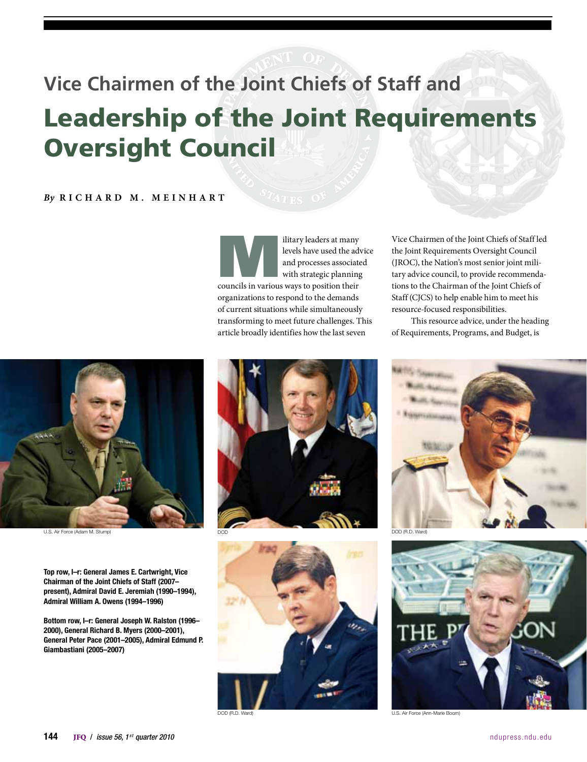# **Vice Chairmen of the Joint Chiefs of Staff and** Leadership of the Joint Requirements Oversight Council

### *By* **R i c h a r d M . M e i n h a r t**

Ilitary leaders at many<br>
levels have used the adv<br>
and processes associate<br>
with strategic planning<br>
councils in various ways to position their levels have used the advice and processes associated with strategic planning organizations to respond to the demands of current situations while simultaneously transforming to meet future challenges. This article broadly identifies how the last seven

Vice Chairmen of the Joint Chiefs of Staff led the Joint Requirements Oversight Council (JROC), the Nation's most senior joint military advice council, to provide recommendations to the Chairman of the Joint Chiefs of Staff (CJCS) to help enable him to meet his resource-focused responsibilities.

This resource advice, under the heading of Requirements, Programs, and Budget, is



Top row, l–r: General James E. Cartwright, Vice Chairman of the Joint Chiefs of Staff (2007– present), Admiral David E. Jeremiah (1990–1994), Admiral William A. Owens (1994–1996)

Bottom row, l–r: General Joseph W. Ralston (1996– 2000), General Richard B. Myers (2000–2001), General Peter Pace (2001–2005), Admiral Edmund P. Giambastiani (2005–2007)









U.S. Air Force (Ann-Marie Boom)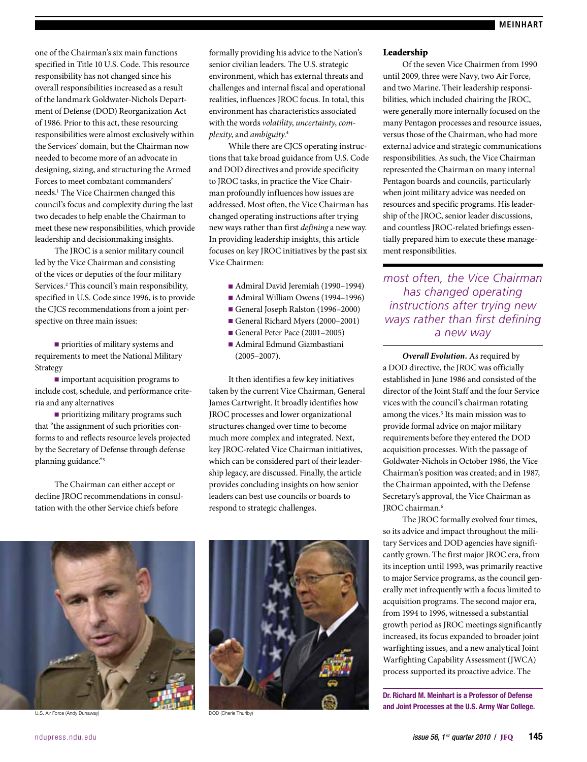one of the Chairman's six main functions specified in Title 10 U.S. Code. This resource responsibility has not changed since his overall responsibilities increased as a result of the landmark Goldwater-Nichols Department of Defense (DOD) Reorganization Act of 1986. Prior to this act, these resourcing responsibilities were almost exclusively within the Services' domain, but the Chairman now needed to become more of an advocate in designing, sizing, and structuring the Armed Forces to meet combatant commanders' needs.1 The Vice Chairmen changed this council's focus and complexity during the last two decades to help enable the Chairman to meet these new responsibilities, which provide leadership and decisionmaking insights.

The JROC is a senior military council led by the Vice Chairman and consisting of the vices or deputies of the four military Services.<sup>2</sup> This council's main responsibility, specified in U.S. Code since 1996, is to provide the CJCS recommendations from a joint perspective on three main issues:

■ priorities of military systems and requirements to meet the National Military Strategy

■ important acquisition programs to include cost, schedule, and performance criteria and any alternatives

■ prioritizing military programs such that "the assignment of such priorities conforms to and reflects resource levels projected by the Secretary of Defense through defense planning guidance."3

The Chairman can either accept or decline JROC recommendations in consultation with the other Service chiefs before

formally providing his advice to the Nation's senior civilian leaders. The U.S. strategic environment, which has external threats and challenges and internal fiscal and operational realities, influences JROC focus. In total, this environment has characteristics associated with the words *volatility*, *uncertainty*, *complexity*, and *ambiguity*. 4

While there are CJCS operating instructions that take broad guidance from U.S. Code and DOD directives and provide specificity to JROC tasks, in practice the Vice Chairman profoundly influences how issues are addressed. Most often, the Vice Chairman has changed operating instructions after trying new ways rather than first *defining* a new way. In providing leadership insights, this article focuses on key JROC initiatives by the past six Vice Chairmen:

- Admiral David Jeremiah (1990–1994)
- Admiral William Owens (1994–1996)
- General Joseph Ralston (1996–2000)
- General Richard Myers (2000–2001)
- General Peter Pace (2001–2005)
- Admiral Edmund Giambastiani (2005–2007).

It then identifies a few key initiatives taken by the current Vice Chairman, General James Cartwright. It broadly identifies how JROC processes and lower organizational structures changed over time to become much more complex and integrated. Next, key JROC-related Vice Chairman initiatives, which can be considered part of their leadership legacy, are discussed. Finally, the article provides concluding insights on how senior leaders can best use councils or boards to respond to strategic challenges.



U.S. Air Force (Andy Dunaway) DOD (Cherie Thurlby)



#### Leadership

Of the seven Vice Chairmen from 1990 until 2009, three were Navy, two Air Force, and two Marine. Their leadership responsibilities, which included chairing the JROC, were generally more internally focused on the many Pentagon processes and resource issues, versus those of the Chairman, who had more external advice and strategic communications responsibilities. As such, the Vice Chairman represented the Chairman on many internal Pentagon boards and councils, particularly when joint military advice was needed on resources and specific programs. His leadership of the JROC, senior leader discussions, and countless JROC-related briefings essentially prepared him to execute these management responsibilities.

*most often, the Vice Chairman has changed operating instructions after trying new ways rather than first defining a new way*

*Overall Evolution.* As required by a DOD directive, the JROC was officially established in June 1986 and consisted of the director of the Joint Staff and the four Service vices with the council's chairman rotating among the vices.<sup>5</sup> Its main mission was to provide formal advice on major military requirements before they entered the DOD acquisition processes. With the passage of Goldwater-Nichols in October 1986, the Vice Chairman's position was created; and in 1987, the Chairman appointed, with the Defense Secretary's approval, the Vice Chairman as JROC chairman.<sup>6</sup>

The JROC formally evolved four times, so its advice and impact throughout the military Services and DOD agencies have significantly grown. The first major JROC era, from its inception until 1993, was primarily reactive to major Service programs, as the council generally met infrequently with a focus limited to acquisition programs. The second major era, from 1994 to 1996, witnessed a substantial growth period as JROC meetings significantly increased, its focus expanded to broader joint warfighting issues, and a new analytical Joint Warfighting Capability Assessment (JWCA) process supported its proactive advice. The

Dr. Richard M. Meinhart is a Professor of Defense and Joint Processes at the U.S. Army War College.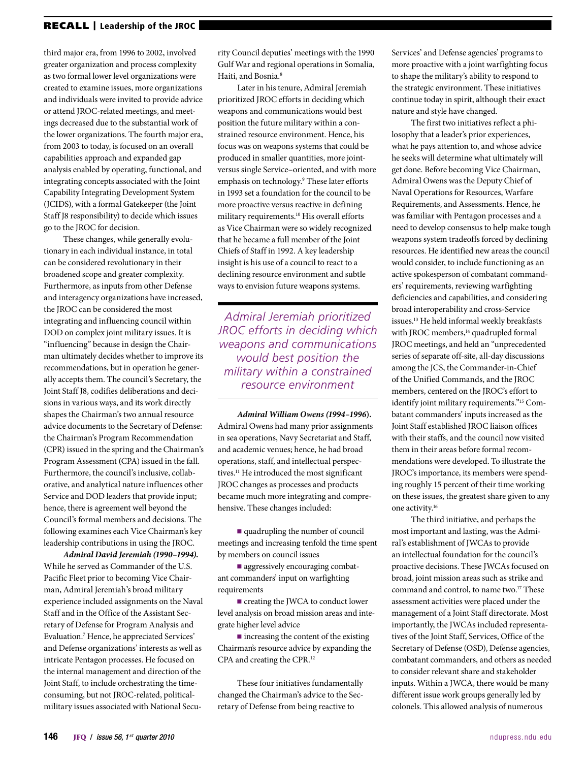#### RECALL | Leadership of the JROC

third major era, from 1996 to 2002, involved greater organization and process complexity as two formal lower level organizations were created to examine issues, more organizations and individuals were invited to provide advice or attend JROC-related meetings, and meetings decreased due to the substantial work of the lower organizations. The fourth major era, from 2003 to today, is focused on an overall capabilities approach and expanded gap analysis enabled by operating, functional, and integrating concepts associated with the Joint Capability Integrating Development System (JCIDS), with a formal Gatekeeper (the Joint Staff J8 responsibility) to decide which issues go to the JROC for decision.

These changes, while generally evolutionary in each individual instance, in total can be considered revolutionary in their broadened scope and greater complexity. Furthermore, as inputs from other Defense and interagency organizations have increased, the JROC can be considered the most integrating and influencing council within DOD on complex joint military issues. It is "influencing" because in design the Chairman ultimately decides whether to improve its recommendations, but in operation he generally accepts them. The council's Secretary, the Joint Staff J8, codifies deliberations and decisions in various ways, and its work directly shapes the Chairman's two annual resource advice documents to the Secretary of Defense: the Chairman's Program Recommendation (CPR) issued in the spring and the Chairman's Program Assessment (CPA) issued in the fall. Furthermore, the council's inclusive, collaborative, and analytical nature influences other Service and DOD leaders that provide input; hence, there is agreement well beyond the Council's formal members and decisions. The following examines each Vice Chairman's key leadership contributions in using the JROC.

*Admiral David Jeremiah (1990–1994)***.** While he served as Commander of the U.S. Pacific Fleet prior to becoming Vice Chairman, Admiral Jeremiah's broad military experience included assignments on the Naval Staff and in the Office of the Assistant Secretary of Defense for Program Analysis and Evaluation.7 Hence, he appreciated Services' and Defense organizations' interests as well as intricate Pentagon processes. He focused on the internal management and direction of the Joint Staff, to include orchestrating the timeconsuming, but not JROC-related, politicalmilitary issues associated with National Secu-

rity Council deputies' meetings with the 1990 Gulf War and regional operations in Somalia, Haiti, and Bosnia.8

Later in his tenure, Admiral Jeremiah prioritized JROC efforts in deciding which weapons and communications would best position the future military within a constrained resource environment. Hence, his focus was on weapons systems that could be produced in smaller quantities, more jointversus single Service–oriented, and with more emphasis on technology.9 These later efforts in 1993 set a foundation for the council to be more proactive versus reactive in defining military requirements.10 His overall efforts as Vice Chairman were so widely recognized that he became a full member of the Joint Chiefs of Staff in 1992. A key leadership insight is his use of a council to react to a declining resource environment and subtle ways to envision future weapons systems.

*Admiral Jeremiah prioritized JROC efforts in deciding which weapons and communications would best position the military within a constrained resource environment*

*Admiral William Owens (1994–1996***).** Admiral Owens had many prior assignments in sea operations, Navy Secretariat and Staff, and academic venues; hence, he had broad operations, staff, and intellectual perspectives.<sup>11</sup> He introduced the most significant JROC changes as processes and products became much more integrating and comprehensive. These changes included:

■ quadrupling the number of council meetings and increasing tenfold the time spent by members on council issues

■ aggressively encouraging combatant commanders' input on warfighting requirements

■ creating the JWCA to conduct lower level analysis on broad mission areas and integrate higher level advice

■ increasing the content of the existing Chairman's resource advice by expanding the CPA and creating the CPR.12

These four initiatives fundamentally changed the Chairman's advice to the Secretary of Defense from being reactive to

Services' and Defense agencies' programs to more proactive with a joint warfighting focus to shape the military's ability to respond to the strategic environment. These initiatives continue today in spirit, although their exact nature and style have changed.

The first two initiatives reflect a philosophy that a leader's prior experiences, what he pays attention to, and whose advice he seeks will determine what ultimately will get done. Before becoming Vice Chairman, Admiral Owens was the Deputy Chief of Naval Operations for Resources, Warfare Requirements, and Assessments. Hence, he was familiar with Pentagon processes and a need to develop consensus to help make tough weapons system tradeoffs forced by declining resources. He identified new areas the council would consider, to include functioning as an active spokesperson of combatant commanders' requirements, reviewing warfighting deficiencies and capabilities, and considering broad interoperability and cross-Service issues.13 He held informal weekly breakfasts with JROC members,<sup>14</sup> quadrupled formal JROC meetings, and held an "unprecedented series of separate off-site, all-day discussions among the JCS, the Commander-in-Chief of the Unified Commands, and the JROC members, centered on the JROC's effort to identify joint military requirements."15 Combatant commanders' inputs increased as the Joint Staff established JROC liaison offices with their staffs, and the council now visited them in their areas before formal recommendations were developed. To illustrate the JROC's importance, its members were spending roughly 15 percent of their time working on these issues, the greatest share given to any one activity.16

The third initiative, and perhaps the most important and lasting, was the Admiral's establishment of JWCAs to provide an intellectual foundation for the council's proactive decisions. These JWCAs focused on broad, joint mission areas such as strike and command and control, to name two.17 These assessment activities were placed under the management of a Joint Staff directorate. Most importantly, the JWCAs included representatives of the Joint Staff, Services, Office of the Secretary of Defense (OSD), Defense agencies, combatant commanders, and others as needed to consider relevant share and stakeholder inputs. Within a JWCA, there would be many different issue work groups generally led by colonels. This allowed analysis of numerous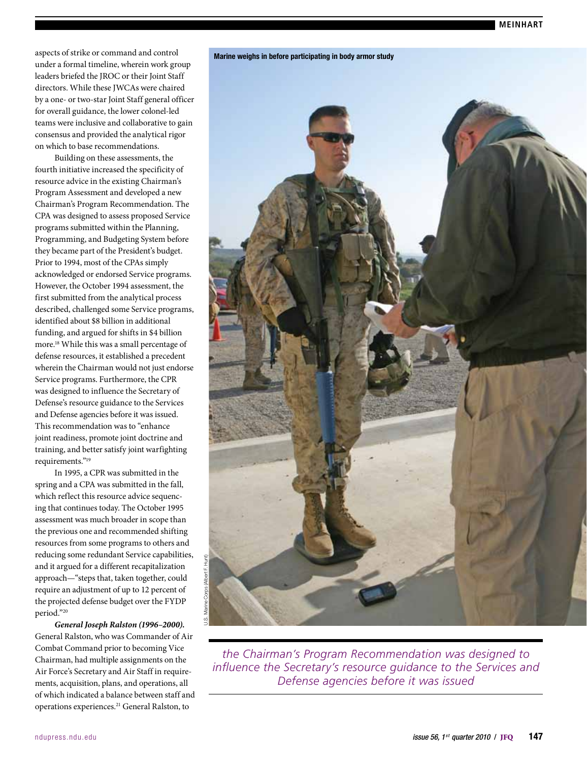aspects of strike or command and control under a formal timeline, wherein work group leaders briefed the JROC or their Joint Staff directors. While these JWCAs were chaired by a one- or two-star Joint Staff general officer for overall guidance, the lower colonel-led teams were inclusive and collaborative to gain consensus and provided the analytical rigor on which to base recommendations.

Building on these assessments, the fourth initiative increased the specificity of resource advice in the existing Chairman's Program Assessment and developed a new Chairman's Program Recommendation. The CPA was designed to assess proposed Service programs submitted within the Planning, Programming, and Budgeting System before they became part of the President's budget. Prior to 1994, most of the CPAs simply acknowledged or endorsed Service programs. However, the October 1994 assessment, the first submitted from the analytical process described, challenged some Service programs, identified about \$8 billion in additional funding, and argued for shifts in \$4 billion more.18 While this was a small percentage of defense resources, it established a precedent wherein the Chairman would not just endorse Service programs. Furthermore, the CPR was designed to influence the Secretary of Defense's resource guidance to the Services and Defense agencies before it was issued. This recommendation was to "enhance joint readiness, promote joint doctrine and training, and better satisfy joint warfighting requirements."<sup>19</sup>

In 1995, a CPR was submitted in the spring and a CPA was submitted in the fall, which reflect this resource advice sequencing that continues today. The October 1995 assessment was much broader in scope than the previous one and recommended shifting resources from some programs to others and reducing some redundant Service capabilities, and it argued for a different recapitalization approach—"steps that, taken together, could require an adjustment of up to 12 percent of the projected defense budget over the FYDP period."20

*General Joseph Ralston (1996–2000)***.** General Ralston, who was Commander of Air Combat Command prior to becoming Vice Chairman, had multiple assignments on the Air Force's Secretary and Air Staff in requirements, acquisition, plans, and operations, all of which indicated a balance between staff and operations experiences.21 General Ralston, to



*the Chairman's Program Recommendation was designed to influence the Secretary's resource guidance to the Services and Defense agencies before it was issued*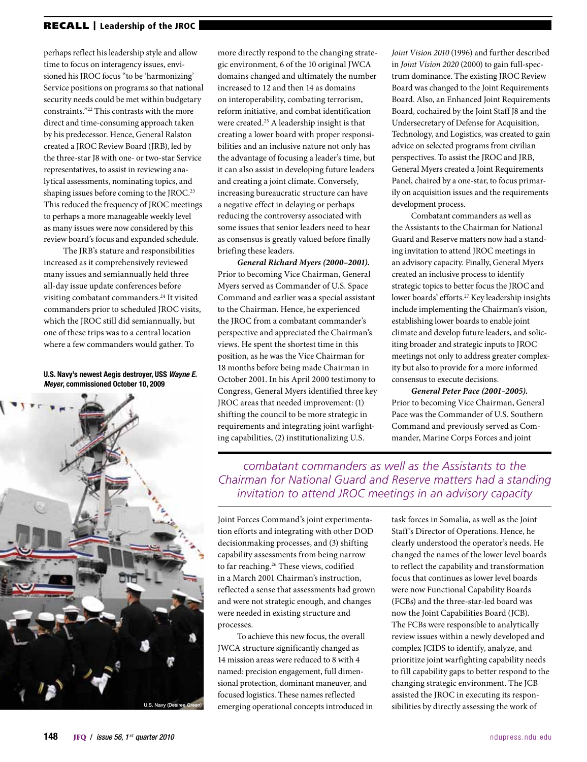perhaps reflect his leadership style and allow time to focus on interagency issues, envisioned his JROC focus "to be 'harmonizing' Service positions on programs so that national security needs could be met within budgetary constraints."22 This contrasts with the more direct and time-consuming approach taken by his predecessor. Hence, General Ralston created a JROC Review Board (JRB), led by the three-star J8 with one- or two-star Service representatives, to assist in reviewing analytical assessments, nominating topics, and shaping issues before coming to the JROC.<sup>23</sup> This reduced the frequency of JROC meetings to perhaps a more manageable weekly level as many issues were now considered by this review board's focus and expanded schedule.

The JRB's stature and responsibilities increased as it comprehensively reviewed many issues and semiannually held three all-day issue update conferences before visiting combatant commanders.<sup>24</sup> It visited commanders prior to scheduled JROC visits, which the JROC still did semiannually, but one of these trips was to a central location where a few commanders would gather. To

U.S. Navy's newest Aegis destroyer, USS *Wayne E. Meyer*, commissioned October 10, 2009



more directly respond to the changing strategic environment, 6 of the 10 original JWCA domains changed and ultimately the number increased to 12 and then 14 as domains on interoperability, combating terrorism, reform initiative, and combat identification were created.<sup>25</sup> A leadership insight is that creating a lower board with proper responsibilities and an inclusive nature not only has the advantage of focusing a leader's time, but it can also assist in developing future leaders and creating a joint climate. Conversely, increasing bureaucratic structure can have a negative effect in delaying or perhaps reducing the controversy associated with some issues that senior leaders need to hear as consensus is greatly valued before finally briefing these leaders.

*General Richard Myers (2000–2001)***.** Prior to becoming Vice Chairman, General Myers served as Commander of U.S. Space Command and earlier was a special assistant to the Chairman. Hence, he experienced the JROC from a combatant commander's perspective and appreciated the Chairman's views. He spent the shortest time in this position, as he was the Vice Chairman for 18 months before being made Chairman in October 2001. In his April 2000 testimony to Congress, General Myers identified three key JROC areas that needed improvement: (1) shifting the council to be more strategic in requirements and integrating joint warfighting capabilities, (2) institutionalizing U.S.

*Joint Vision 2010* (1996) and further described in *Joint Vision 2020* (2000) to gain full-spectrum dominance. The existing JROC Review Board was changed to the Joint Requirements Board. Also, an Enhanced Joint Requirements Board, cochaired by the Joint Staff J8 and the Undersecretary of Defense for Acquisition, Technology, and Logistics, was created to gain advice on selected programs from civilian perspectives. To assist the JROC and JRB, General Myers created a Joint Requirements Panel, chaired by a one-star, to focus primarily on acquisition issues and the requirements development process.

Combatant commanders as well as the Assistants to the Chairman for National Guard and Reserve matters now had a standing invitation to attend JROC meetings in an advisory capacity. Finally, General Myers created an inclusive process to identify strategic topics to better focus the JROC and lower boards' efforts.27 Key leadership insights include implementing the Chairman's vision, establishing lower boards to enable joint climate and develop future leaders, and soliciting broader and strategic inputs to JROC meetings not only to address greater complexity but also to provide for a more informed consensus to execute decisions.

*General Peter Pace (2001–2005)***.** Prior to becoming Vice Chairman, General Pace was the Commander of U.S. Southern Command and previously served as Commander, Marine Corps Forces and joint

*combatant commanders as well as the Assistants to the Chairman for National Guard and Reserve matters had a standing invitation to attend JROC meetings in an advisory capacity*

Joint Forces Command's joint experimentation efforts and integrating with other DOD decisionmaking processes, and (3) shifting capability assessments from being narrow to far reaching.<sup>26</sup> These views, codified in a March 2001 Chairman's instruction, reflected a sense that assessments had grown and were not strategic enough, and changes were needed in existing structure and processes.

To achieve this new focus, the overall JWCA structure significantly changed as 14 mission areas were reduced to 8 with 4 named: precision engagement, full dimensional protection, dominant maneuver, and focused logistics. These names reflected emerging operational concepts introduced in task forces in Somalia, as well as the Joint Staff's Director of Operations. Hence, he clearly understood the operator's needs. He changed the names of the lower level boards to reflect the capability and transformation focus that continues as lower level boards were now Functional Capability Boards (FCBs) and the three-star-led board was now the Joint Capabilities Board (JCB). The FCBs were responsible to analytically review issues within a newly developed and complex JCIDS to identify, analyze, and prioritize joint warfighting capability needs to fill capability gaps to better respond to the changing strategic environment. The JCB assisted the JROC in executing its responsibilities by directly assessing the work of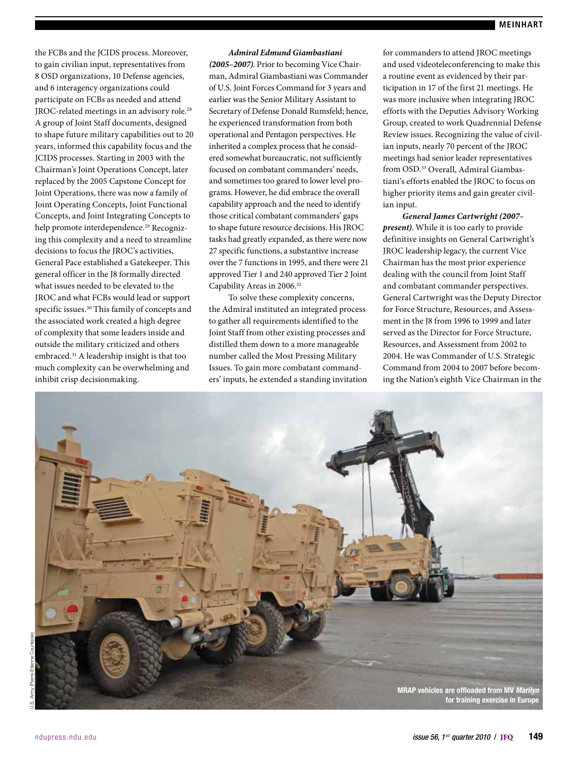the FCBs and the JCIDS process. Moreover, to gain civilian input, representatives from 8 OSD organizations, 10 Defense agencies, and 6 interagency organizations could participate on FCBs as needed and attend JROC-related meetings in an advisory role.<sup>28</sup> A group of Joint Staff documents, designed to shape future military capabilities out to 20 years, informed this capability focus and the JCIDS processes. Starting in 2003 with the Chairman's Joint Operations Concept, later replaced by the 2005 Capstone Concept for Joint Operations, there was now a family of Joint Operating Concepts, Joint Functional Concepts, and Joint Integrating Concepts to help promote interdependence.<sup>29</sup> Recognizing this complexity and a need to streamline decisions to focus the JROC's activities, General Pace established a Gatekeeper. This general officer in the J8 formally directed what issues needed to be elevated to the JROC and what FCBs would lead or support specific issues.30 This family of concepts and the associated work created a high degree of complexity that some leaders inside and outside the military criticized and others embraced.<sup>31</sup> A leadership insight is that too much complexity can be overwhelming and inhibit crisp decisionmaking.

#### *Admiral Edmund Giambastiani*

*(2005–2007)*. Prior to becoming Vice Chairman, Admiral Giambastiani was Commander of U.S. Joint Forces Command for 3 years and earlier was the Senior Military Assistant to Secretary of Defense Donald Rumsfeld; hence, he experienced transformation from both operational and Pentagon perspectives. He inherited a complex process that he considered somewhat bureaucratic, not sufficiently focused on combatant commanders' needs, and sometimes too geared to lower level programs. However, he did embrace the overall capability approach and the need to identify those critical combatant commanders' gaps to shape future resource decisions. His JROC tasks had greatly expanded, as there were now 27 specific functions, a substantive increase over the 7 functions in 1995, and there were 21 approved Tier 1 and 240 approved Tier 2 Joint Capability Areas in 2006.32

To solve these complexity concerns, the Admiral instituted an integrated process to gather all requirements identified to the Joint Staff from other existing processes and distilled them down to a more manageable number called the Most Pressing Military Issues. To gain more combatant commanders' inputs, he extended a standing invitation for commanders to attend JROC meetings and used videoteleconferencing to make this a routine event as evidenced by their participation in 17 of the first 21 meetings. He was more inclusive when integrating JROC efforts with the Deputies Advisory Working Group, created to work Quadrennial Defense Review issues. Recognizing the value of civilian inputs, nearly 70 percent of the JROC meetings had senior leader representatives from OSD.33 Overall, Admiral Giambastiani's efforts enabled the JROC to focus on higher priority items and gain greater civilian input.

*General James Cartwright (2007– present)*. While it is too early to provide definitive insights on General Cartwright's JROC leadership legacy, the current Vice Chairman has the most prior experience dealing with the council from Joint Staff and combatant commander perspectives. General Cartwright was the Deputy Director for Force Structure, Resources, and Assessment in the J8 from 1996 to 1999 and later served as the Director for Force Structure, Resources, and Assessment from 2002 to 2004. He was Commander of U.S. Strategic Command from 2004 to 2007 before becoming the Nation's eighth Vice Chairman in the

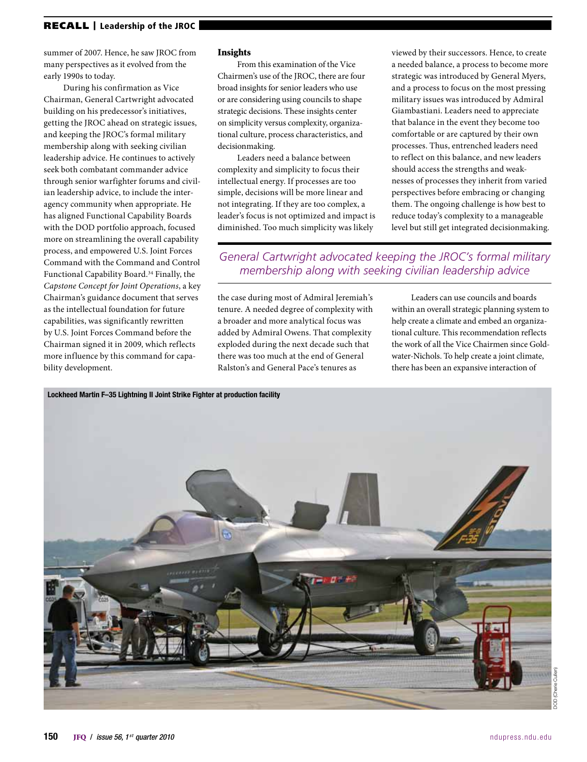summer of 2007. Hence, he saw JROC from many perspectives as it evolved from the early 1990s to today.

During his confirmation as Vice Chairman, General Cartwright advocated building on his predecessor's initiatives, getting the JROC ahead on strategic issues, and keeping the JROC's formal military membership along with seeking civilian leadership advice. He continues to actively seek both combatant commander advice through senior warfighter forums and civilian leadership advice, to include the interagency community when appropriate. He has aligned Functional Capability Boards with the DOD portfolio approach, focused more on streamlining the overall capability process, and empowered U.S. Joint Forces Command with the Command and Control Functional Capability Board.<sup>34</sup> Finally, the *Capstone Concept for Joint Operations*, a key Chairman's guidance document that serves as the intellectual foundation for future capabilities, was significantly rewritten by U.S. Joint Forces Command before the Chairman signed it in 2009, which reflects more influence by this command for capability development.

#### Insights

From this examination of the Vice Chairmen's use of the JROC, there are four broad insights for senior leaders who use or are considering using councils to shape strategic decisions. These insights center on simplicity versus complexity, organizational culture, process characteristics, and decisionmaking.

Leaders need a balance between complexity and simplicity to focus their intellectual energy. If processes are too simple, decisions will be more linear and not integrating. If they are too complex, a leader's focus is not optimized and impact is diminished. Too much simplicity was likely

viewed by their successors. Hence, to create a needed balance, a process to become more strategic was introduced by General Myers, and a process to focus on the most pressing military issues was introduced by Admiral Giambastiani. Leaders need to appreciate that balance in the event they become too comfortable or are captured by their own processes. Thus, entrenched leaders need to reflect on this balance, and new leaders should access the strengths and weaknesses of processes they inherit from varied perspectives before embracing or changing them. The ongoing challenge is how best to reduce today's complexity to a manageable level but still get integrated decisionmaking.

## *General Cartwright advocated keeping the JROC's formal military membership along with seeking civilian leadership advice*

the case during most of Admiral Jeremiah's tenure. A needed degree of complexity with a broader and more analytical focus was added by Admiral Owens. That complexity exploded during the next decade such that there was too much at the end of General Ralston's and General Pace's tenures as

Leaders can use councils and boards within an overall strategic planning system to help create a climate and embed an organizational culture. This recommendation reflects the work of all the Vice Chairmen since Goldwater-Nichols. To help create a joint climate, there has been an expansive interaction of